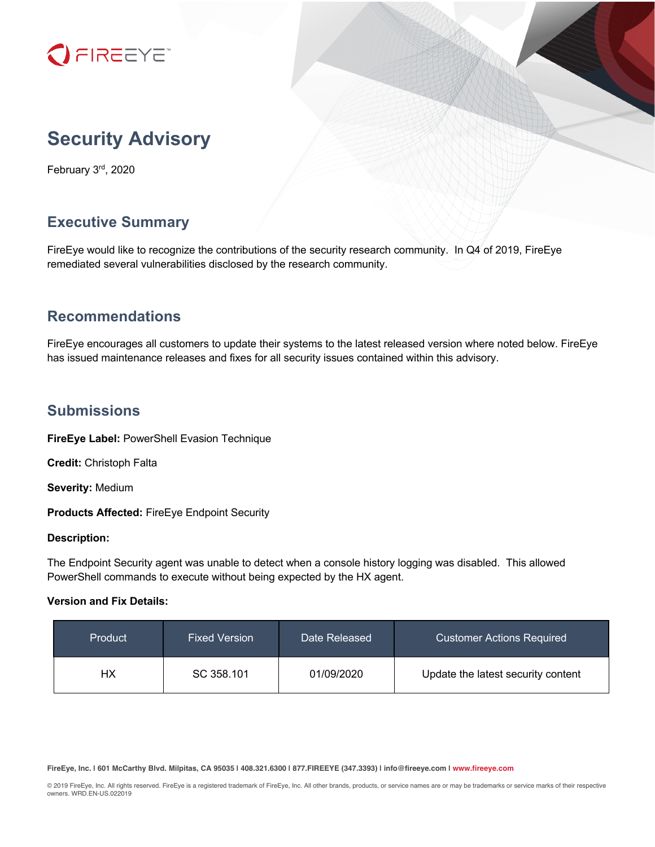

# **Security Advisory**

February 3rd, 2020

# **Executive Summary**

FireEye would like to recognize the contributions of the security research community. In Q4 of 2019, FireEye remediated several vulnerabilities disclosed by the research community.

# **Recommendations**

FireEye encourages all customers to update their systems to the latest released version where noted below. FireEye has issued maintenance releases and fixes for all security issues contained within this advisory.

## **Submissions**

**FireEye Label:** PowerShell Evasion Technique

**Credit:** Christoph Falta

**Severity:** Medium

**Products Affected:** FireEye Endpoint Security

#### **Description:**

The Endpoint Security agent was unable to detect when a console history logging was disabled. This allowed PowerShell commands to execute without being expected by the HX agent.

#### **Version and Fix Details:**

| Product | <b>Fixed Version</b> | Date Released | <b>Customer Actions Required</b>   |
|---------|----------------------|---------------|------------------------------------|
| НΧ      | SC 358.101           | 01/09/2020    | Update the latest security content |

**FireEye, Inc. | 601 McCarthy Blvd. Milpitas, CA 95035 | 408.321.6300 | 877.FIREEYE (347.3393) | info@fireeye.com | www.fireeye.com**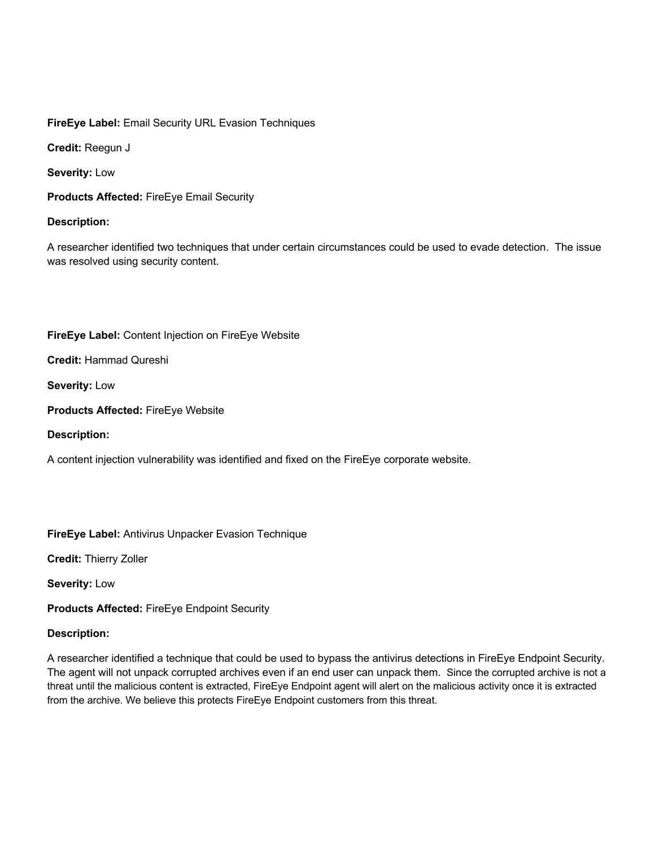**FireEye Label:** Email Security URL Evasion Techniques

**Credit:** Reegun J

**Severity:** Low

**Products Affected:** FireEye Email Security

#### **Description:**

A researcher identified two techniques that under certain circumstances could be used to evade detection. The issue was resolved using security content.

### **FireEye Label:** Content Injection on FireEye Website

**Credit:** Hammad Qureshi

**Severity:** Low

**Products Affected:** FireEye Website

**Description:**

A content injection vulnerability was identified and fixed on the FireEye corporate website.

**FireEye Label:** Antivirus Unpacker Evasion Technique

**Credit:** Thierry Zoller

**Severity:** Low

**Products Affected:** FireEye Endpoint Security

#### **Description:**

A researcher identified a technique that could be used to bypass the antivirus detections in FireEye Endpoint Security. The agent will not unpack corrupted archives even if an end user can unpack them. Since the corrupted archive is not a threat until the malicious content is extracted, FireEye Endpoint agent will alert on the malicious activity once it is extracted from the archive. We believe this protects FireEye Endpoint customers from this threat.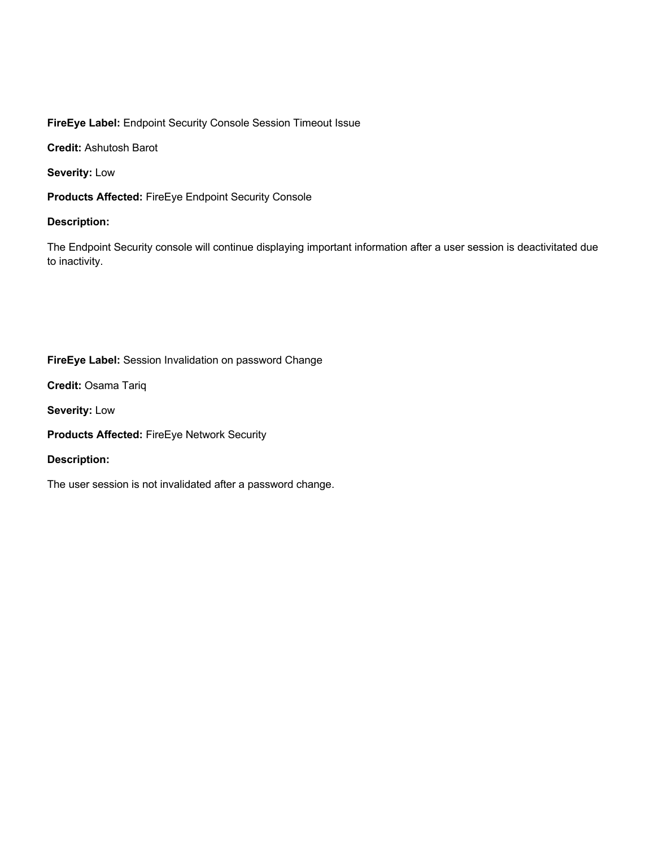### **FireEye Label:** Endpoint Security Console Session Timeout Issue

**Credit:** Ashutosh Barot

**Severity:** Low

**Products Affected:** FireEye Endpoint Security Console

### **Description:**

The Endpoint Security console will continue displaying important information after a user session is deactivitated due to inactivity.

### **FireEye Label:** Session Invalidation on password Change

**Credit:** Osama Tariq

**Severity:** Low

**Products Affected:** FireEye Network Security

### **Description:**

The user session is not invalidated after a password change.